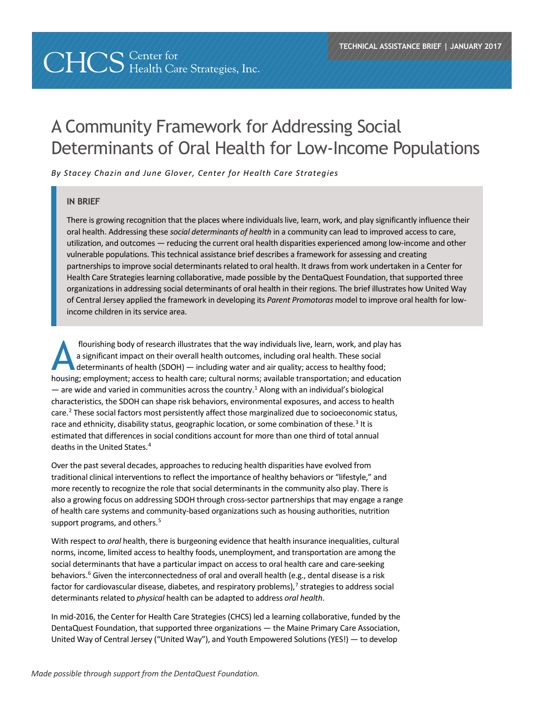# **CHCS** Center for *CHCS* Health Care Strategies, Inc.

# A Community Framework for Addressing Social Determinants of Oral Health for Low-Income Populations

*By Stacey Chazin and June Glover, Center for Health Care Strategies*

#### **IN BRIEF**

There is growing recognition that the places where individuals live, learn, work, and play significantly influence their oral health. Addressing these *social determinants of health* in a community can lead to improved access to care, utilization, and outcomes — reducing the current oral health disparities experienced among low-income and other vulnerable populations. This technical assistance brief describes a framework for assessing and creating partnerships to improve social determinants related to oral health. It draws from work undertaken in a Center for Health Care Strategies learning collaborative, made possible by the DentaQuest Foundation, that supported three organizations in addressing social determinants of oral health in their regions. The brief illustrates how United Way of Central Jersey applied the framework in developing its *Parent Promotoras* model to improve oral health for lowincome children in its service area.

flourishing body of research illustrates that the way individuals live, learn, work, and play has a significant impact on their overall health outcomes, including oral health. These social determinants of health (SDOH) — including water and air quality; access to healthy food; flourishing body of research illustrates that the way individuals live, learn, work, and play has<br>a significant impact on their overall health outcomes, including oral health. These social<br>determinants of health (SDOH) — i — are wide and varied in communities across the country.<sup>[1](#page-10-0)</sup> Along with an individual's biological characteristics, the SDOH can shape risk behaviors, environmental exposures, and access to health care.<sup>2</sup> These social factors most persistently affect those marginalized due to socioeconomic status, race and ethnicity, disability status, geographic location, or some combination of these.<sup>[3](#page-10-2)</sup> It is estimated that differences in social conditions account for more than one third of total annual deaths in the United States.[4](#page-10-3)

Over the past several decades, approaches to reducing health disparities have evolved from traditional clinical interventions to reflect the importance of healthy behaviors or "lifestyle," and more recently to recognize the role that social determinants in the community also play. There is also a growing focus on addressing SDOH through cross-sector partnerships that may engage a range of health care systems and community-based organizations such as housing authorities, nutrition support programs, and others.<sup>[5](#page-10-4)</sup>

With respect to *oral* health, there is burgeoning evidence that health insurance inequalities, cultural norms, income, limited access to healthy foods, unemployment, and transportation are among the social determinants that have a particular impact on access to oral health care and care-seeking behaviors.<sup>[6](#page-10-5)</sup> Given the interconnectedness of oral and overall health (e.g., dental disease is a risk factor for cardiovascular disease, diabetes, and respiratory problems), $<sup>7</sup>$  $<sup>7</sup>$  $<sup>7</sup>$  strategies to address social</sup> determinants related to *physical* health can be adapted to address *oral health*.

In mid-2016, the Center for Health Care Strategies (CHCS) led a learning collaborative, funded by the DentaQuest Foundation, that supported three organizations — the Maine Primary Care Association, United Way of Central Jersey ("United Way"), and Youth Empowered Solutions (YES!) — to develop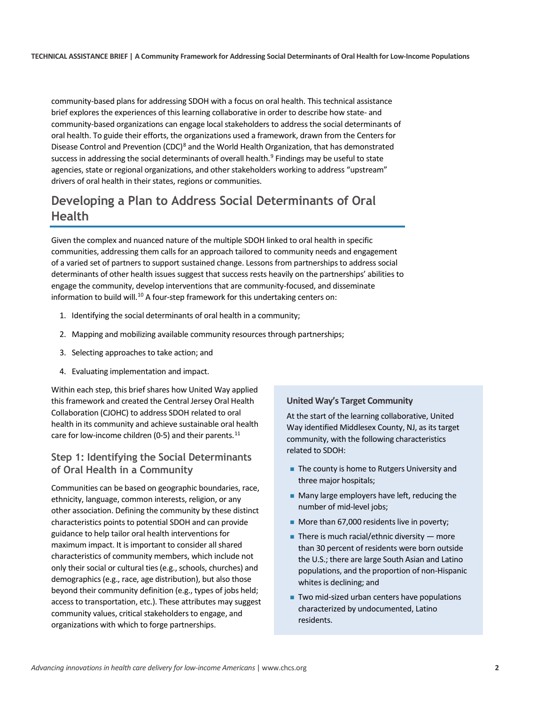community-based plans for addressing SDOH with a focus on oral health. This technical assistance brief explores the experiences of this learning collaborative in order to describe how state- and community-based organizations can engage local stakeholders to address the social determinants of oral health. To guide their efforts, the organizations used a framework, drawn from the Centers for Disease Control and Prevention (CDC)<sup>[8](#page-10-7)</sup> and the World Health Organization, that has demonstrated success in addressing the social determinants of overall health. $9$  Findings may be useful to state agencies, state or regional organizations, and other stakeholders working to address "upstream" drivers of oral health in their states, regions or communities.

## **Developing a Plan to Address Social Determinants of Oral Health**

Given the complex and nuanced nature of the multiple SDOH linked to oral health in specific communities, addressing them calls for an approach tailored to community needs and engagement of a varied set of partners to support sustained change. Lessons from partnerships to address social determinants of other health issues suggest that success rests heavily on the partnerships' abilities to engage the community, develop interventions that are community-focused, and disseminate information to build will.<sup>[10](#page-10-9)</sup> A four-step framework for this undertaking centers on:

- 1. Identifying the social determinants of oral health in a community;
- 2. Mapping and mobilizing available community resources through partnerships;
- 3. Selecting approaches to take action; and
- 4. Evaluating implementation and impact.

Within each step, this brief shares how United Way applied this framework and created the Central Jersey Oral Health Collaboration (CJOHC) to address SDOH related to oral health in its community and achieve sustainable oral health care for low-income children (0-5) and their parents.<sup>[11](#page-10-10)</sup>

#### **Step 1: Identifying the Social Determinants of Oral Health in a Community**

Communities can be based on geographic boundaries, race, ethnicity, language, common interests, religion, or any other association. Defining the community by these distinct characteristics points to potential SDOH and can provide guidance to help tailor oral health interventions for maximum impact. It is important to consider all shared characteristics of community members, which include not only their social or cultural ties (e.g., schools, churches) and demographics (e.g., race, age distribution), but also those beyond their community definition (e.g., types of jobs held; access to transportation, etc.). These attributes may suggest community values, critical stakeholders to engage, and organizations with which to forge partnerships.

#### **United Way's Target Community**

At the start of the learning collaborative, United Way identified Middlesex County, NJ, as its target community, with the following characteristics related to SDOH:

- The county is home to Rutgers University and three major hospitals;
- Many large employers have left, reducing the number of mid-level jobs;
- More than 67,000 residents live in poverty;
- There is much racial/ethnic diversity  $-$  more than 30 percent of residents were born outside the U.S.; there are large South Asian and Latino populations, and the proportion of non-Hispanic whites is declining; and
- Two mid-sized urban centers have populations characterized by undocumented, Latino residents.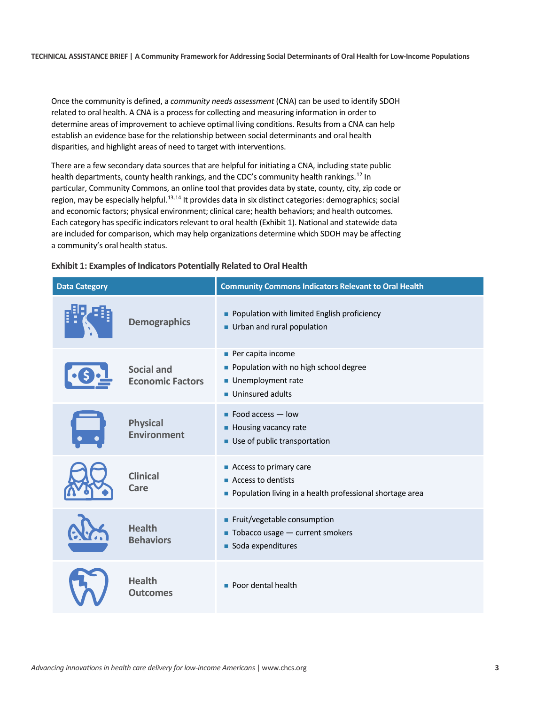Once the community is defined, a *community needs assessment* (CNA) can be used to identify SDOH related to oral health. A CNA is a process for collecting and measuring information in order to determine areas of improvement to achieve optimal living conditions. Results from a CNA can help establish an evidence base for the relationship between social determinants and oral health disparities, and highlight areas of need to target with interventions.

There are a few secondary data sources that are helpful for initiating a CNA, including state public health departments, county health rankings, and the CDC's community health rankings.<sup>[12](#page-10-11)</sup> In particular, Community Commons, an online tool that provides data by state, county, city, zip code or region, may be especially helpful.<sup>[13](#page-10-12),[14](#page-10-13)</sup> It provides data in six distinct categories: demographics; social and economic factors; physical environment; clinical care; health behaviors; and health outcomes. Each category has specific indicators relevant to oral health (Exhibit 1). National and statewide data are included for comparison, which may help organizations determine which SDOH may be affecting a community's oral health status.

| <b>Data Category</b> |                                              | <b>Community Commons Indicators Relevant to Oral Health</b>                                                             |
|----------------------|----------------------------------------------|-------------------------------------------------------------------------------------------------------------------------|
|                      | <b>Demographics</b>                          | Population with limited English proficiency<br>Urban and rural population                                               |
|                      | <b>Social and</b><br><b>Economic Factors</b> | Per capita income<br>• Population with no high school degree<br>Unemployment rate<br>Uninsured adults                   |
|                      | <b>Physical</b><br><b>Environment</b>        | $\blacksquare$ Food access $\blacksquare$ low<br>Housing vacancy rate<br>Use of public transportation                   |
|                      | <b>Clinical</b><br>Care                      | Access to primary care<br>$\blacksquare$ Access to dentists<br>Population living in a health professional shortage area |
|                      | <b>Health</b><br><b>Behaviors</b>            | Fruit/vegetable consumption<br>$\blacksquare$ Tobacco usage $\blacksquare$ current smokers<br>Soda expenditures         |
|                      | <b>Health</b><br><b>Outcomes</b>             | • Poor dental health                                                                                                    |

#### **Exhibit 1: Examples of Indicators Potentially Related to Oral Health**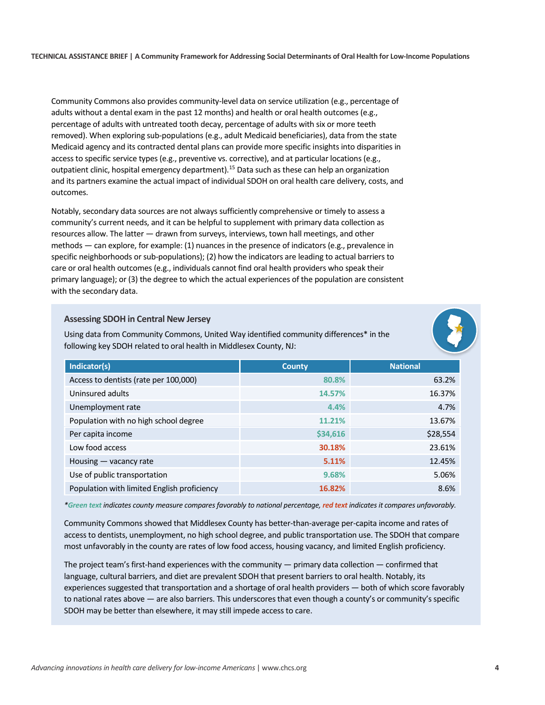Community Commons also provides community-level data on service utilization (e.g., percentage of adults without a dental exam in the past 12 months) and health or oral health outcomes (e.g., percentage of adults with untreated tooth decay, percentage of adults with six or more teeth removed). When exploring sub-populations (e.g., adult Medicaid beneficiaries), data from the state Medicaid agency and its contracted dental plans can provide more specific insights into disparities in access to specific service types (e.g., preventive vs. corrective), and at particular locations (e.g., outpatient clinic, hospital emergency department).[15](#page-10-14) Data such as these can help an organization and its partners examine the actual impact of individual SDOH on oral health care delivery, costs, and outcomes.

Notably, secondary data sources are not always sufficiently comprehensive or timely to assess a community's current needs, and it can be helpful to supplement with primary data collection as resources allow. The latter — drawn from surveys, interviews, town hall meetings, and other methods — can explore, for example: (1) nuances in the presence of indicators (e.g., prevalence in specific neighborhoods or sub-populations); (2) how the indicators are leading to actual barriers to care or oral health outcomes (e.g., individuals cannot find oral health providers who speak their primary language); or (3) the degree to which the actual experiences of the population are consistent with the secondary data.

#### **Assessing SDOH in Central New Jersey**

Using data from Community Commons, United Way identified community differences\* in the following key SDOH related to oral health in Middlesex County, NJ:



| Indicator(s)                                | <b>County</b> | <b>National</b> |
|---------------------------------------------|---------------|-----------------|
| Access to dentists (rate per 100,000)       | 80.8%         | 63.2%           |
| Uninsured adults                            | 14.57%        | 16.37%          |
| Unemployment rate                           | 4.4%          | 4.7%            |
| Population with no high school degree       | 11.21%        | 13.67%          |
| Per capita income                           | \$34,616      | \$28,554        |
| Low food access                             | 30.18%        | 23.61%          |
| Housing - vacancy rate                      | 5.11%         | 12.45%          |
| Use of public transportation                | 9.68%         | 5.06%           |
| Population with limited English proficiency | 16.82%        | 8.6%            |

*\*Green text indicates county measure compares favorably to national percentage, red text indicates it compares unfavorably.* 

Community Commons showed that Middlesex County has better-than-average per-capita income and rates of access to dentists, unemployment, no high school degree, and public transportation use. The SDOH that compare most unfavorably in the county are rates of low food access, housing vacancy, and limited English proficiency.

The project team's first-hand experiences with the community — primary data collection — confirmed that language, cultural barriers, and diet are prevalent SDOH that present barriers to oral health. Notably, its experiences suggested that transportation and a shortage of oral health providers — both of which score favorably to national rates above — are also barriers. This underscores that even though a county's or community's specific SDOH may be better than elsewhere, it may still impede access to care.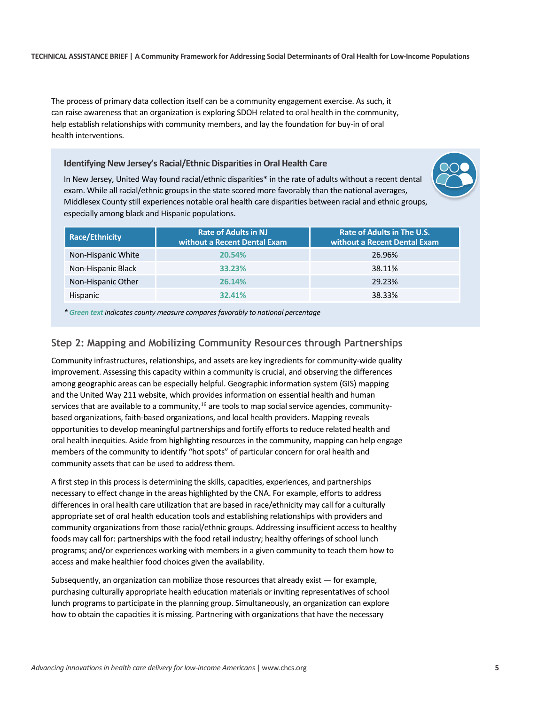The process of primary data collection itself can be a community engagement exercise. As such, it can raise awareness that an organization is exploring SDOH related to oral health in the community, help establish relationships with community members, and lay the foundation for buy-in of oral health interventions.

**Identifying New Jersey's Racial/Ethnic Disparities in Oral Health Care**

In New Jersey, United Way found racial/ethnic disparities\* in the rate of adults without a recent dental exam. While all racial/ethnic groups in the state scored more favorably than the national averages, Middlesex County still experiences notable oral health care disparities between racial and ethnic groups, especially among black and Hispanic populations.



| <b>Rate of Adults in NJ</b><br>without a Recent Dental Exam | <b>Rate of Adults in The U.S.</b><br>without a Recent Dental Exam |
|-------------------------------------------------------------|-------------------------------------------------------------------|
| 20.54%                                                      | 26.96%                                                            |
| 33.23%                                                      | 38.11%                                                            |
| 26.14%                                                      | 29.23%                                                            |
| 32,41%                                                      | 38.33%                                                            |
|                                                             |                                                                   |

*\* Green text indicates county measure compares favorably to national percentage*

#### **Step 2: Mapping and Mobilizing Community Resources through Partnerships**

Community infrastructures, relationships, and assets are key ingredients for community-wide quality improvement. Assessing this capacity within a community is crucial, and observing the differences among geographic areas can be especially helpful. Geographic information system (GIS) mapping and the United Way 211 website, which provides information on essential health and human services that are available to a community,<sup>[16](#page-10-15)</sup> are tools to map social service agencies, communitybased organizations, faith-based organizations, and local health providers. Mapping reveals opportunities to develop meaningful partnerships and fortify efforts to reduce related health and oral health inequities. Aside from highlighting resources in the community, mapping can help engage members of the community to identify "hot spots" of particular concern for oral health and community assets that can be used to address them.

A first step in this process is determining the skills, capacities, experiences, and partnerships necessary to effect change in the areas highlighted by the CNA. For example, efforts to address differences in oral health care utilization that are based in race/ethnicity may call for a culturally appropriate set of oral health education tools and establishing relationships with providers and community organizations from those racial/ethnic groups. Addressing insufficient access to healthy foods may call for: partnerships with the food retail industry; healthy offerings of school lunch programs; and/or experiences working with members in a given community to teach them how to access and make healthier food choices given the availability.

Subsequently, an organization can mobilize those resources that already exist — for example, purchasing culturally appropriate health education materials or inviting representatives of school lunch programs to participate in the planning group. Simultaneously, an organization can explore how to obtain the capacities it is missing. Partnering with organizations that have the necessary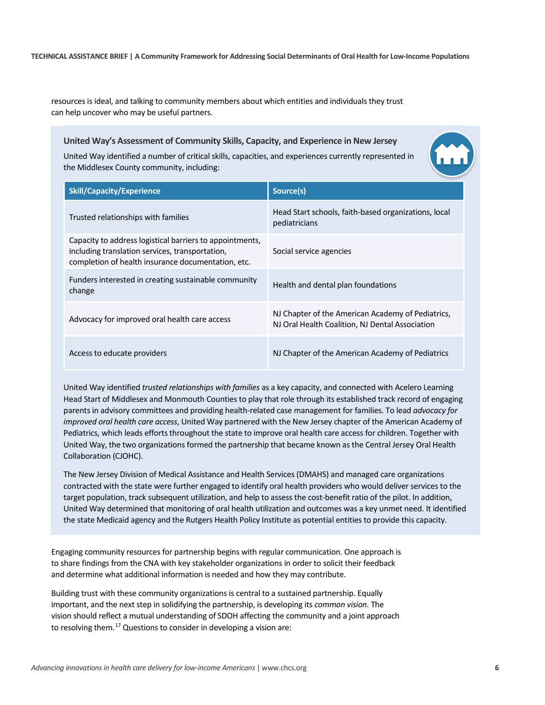resources is ideal, and talking to community members about which entities and individuals they trust can help uncover who may be useful partners.

#### **United Way's Assessment of Community Skills, Capacity, and Experience in New Jersey**

United Way identified a number of critical skills, capacities, and experiences currently represented in the Middlesex County community, including:

| <b>Skill/Capacity/Experience</b>                                                                                                                                  | Source(s)                                                                                            |  |
|-------------------------------------------------------------------------------------------------------------------------------------------------------------------|------------------------------------------------------------------------------------------------------|--|
| Trusted relationships with families                                                                                                                               | Head Start schools, faith-based organizations, local<br>pediatricians                                |  |
| Capacity to address logistical barriers to appointments,<br>including translation services, transportation,<br>completion of health insurance documentation, etc. | Social service agencies                                                                              |  |
| Funders interested in creating sustainable community<br>change                                                                                                    | Health and dental plan foundations                                                                   |  |
| Advocacy for improved oral health care access                                                                                                                     | NJ Chapter of the American Academy of Pediatrics,<br>NJ Oral Health Coalition, NJ Dental Association |  |
| Access to educate providers                                                                                                                                       | NJ Chapter of the American Academy of Pediatrics                                                     |  |

United Way identified *trusted relationships with families* as a key capacity, and connected with Acelero Learning Head Start of Middlesex and Monmouth Counties to play that role through its established track record of engaging parents in advisory committees and providing health-related case management for families. To lead *advocacy for improved oral health care access*, United Way partnered with the New Jersey chapter of the American Academy of Pediatrics, which leads efforts throughout the state to improve oral health care access for children. Together with United Way, the two organizations formed the partnership that became known as the Central Jersey Oral Health Collaboration (CJOHC).

The New Jersey Division of Medical Assistance and Health Services (DMAHS) and managed care organizations contracted with the state were further engaged to identify oral health providers who would deliver services to the target population, track subsequent utilization, and help to assess the cost-benefit ratio of the pilot. In addition, United Way determined that monitoring of oral health utilization and outcomes was a key unmet need. It identified the state Medicaid agency and the Rutgers Health Policy Institute as potential entities to provide this capacity.

Engaging community resources for partnership begins with regular communication. One approach is to share findings from the CNA with key stakeholder organizations in order to solicit their feedback and determine what additional information is needed and how they may contribute.

Building trust with these community organizations is central to a sustained partnership. Equally important, and the next step in solidifying the partnership, is developing its *common vision*. The vision should reflect a mutual understanding of SDOH affecting the community and a joint approach to resolving them.<sup>[17](#page-10-16)</sup> Questions to consider in developing a vision are: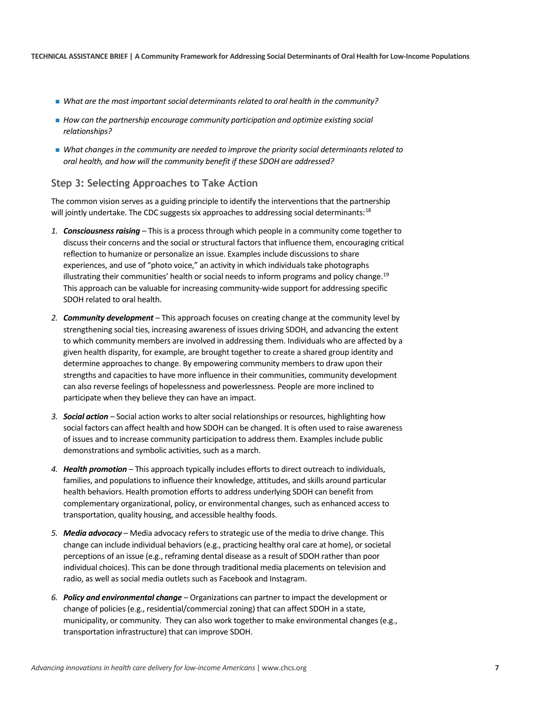- *What are the most important social determinants related to oral health in the community?*
- *How can the partnership encourage community participation and optimize existing social relationships?*
- *What changes in the community are needed to improve the priority social determinants related to oral health, and how will the community benefit if these SDOH are addressed?*

#### **Step 3: Selecting Approaches to Take Action**

The common vision serves as a guiding principle to identify the interventions that the partnership will jointly undertake. The CDC suggests six approaches to addressing social determinants:<sup>[18](#page-10-17)</sup>

- *1. Consciousness raising* This is a process through which people in a community come together to discuss their concerns and the social or structural factors that influence them, encouraging critical reflection to humanize or personalize an issue. Examples include discussions to share experiences, and use of "photo voice," an activity in which individuals take photographs illustrating their communities' health or social needs to inform programs and policy change.<sup>[19](#page-10-18)</sup> This approach can be valuable for increasing community-wide support for addressing specific SDOH related to oral health.
- *2. Community development* This approach focuses on creating change at the community level by strengthening social ties, increasing awareness of issues driving SDOH, and advancing the extent to which community members are involved in addressing them. Individuals who are affected by a given health disparity, for example, are brought together to create a shared group identity and determine approaches to change. By empowering community members to draw upon their strengths and capacities to have more influence in their communities, community development can also reverse feelings of hopelessness and powerlessness. People are more inclined to participate when they believe they can have an impact.
- *3. Social action* Social action works to alter social relationships or resources, highlighting how social factors can affect health and how SDOH can be changed. It is often used to raise awareness of issues and to increase community participation to address them. Examples include public demonstrations and symbolic activities, such as a march.
- *4. Health promotion* This approach typically includes efforts to direct outreach to individuals, families, and populations to influence their knowledge, attitudes, and skills around particular health behaviors. Health promotion efforts to address underlying SDOH can benefit from complementary organizational, policy, or environmental changes, such as enhanced access to transportation, quality housing, and accessible healthy foods.
- *5. Media advocacy* Media advocacy refers to strategic use of the media to drive change. This change can include individual behaviors (e.g., practicing healthy oral care at home), or societal perceptions of an issue (e.g., reframing dental disease as a result of SDOH rather than poor individual choices). This can be done through traditional media placements on television and radio, as well as social media outlets such as Facebook and Instagram.
- *6. Policy and environmental change* Organizations can partner to impact the development or change of policies (e.g., residential/commercial zoning) that can affect SDOH in a state, municipality, or community. They can also work together to make environmental changes (e.g., transportation infrastructure) that can improve SDOH.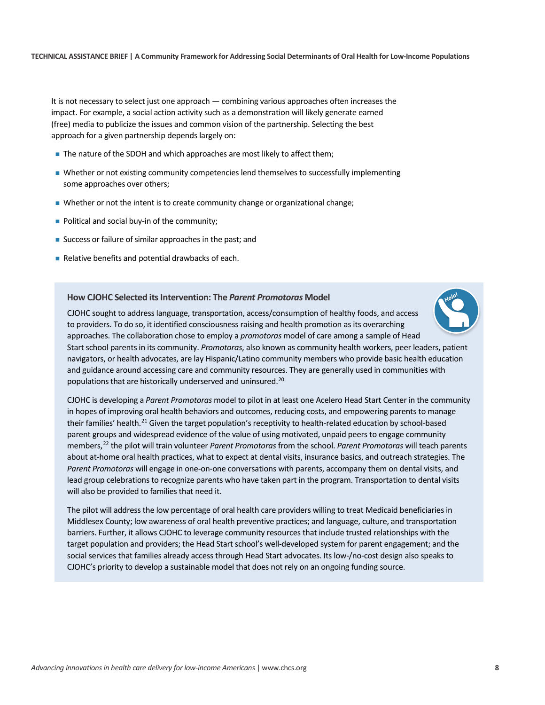It is not necessary to select just one approach — combining various approaches often increases the impact. For example, a social action activity such as a demonstration will likely generate earned (free) media to publicize the issues and common vision of the partnership. Selecting the best approach for a given partnership depends largely on:

- The nature of the SDOH and which approaches are most likely to affect them;
- Whether or not existing community competencies lend themselves to successfully implementing some approaches over others;
- Whether or not the intent is to create community change or organizational change;
- Political and social buy-in of the community;
- Success or failure of similar approaches in the past; and
- Relative benefits and potential drawbacks of each.

#### **How CJOHC Selected its Intervention: The** *Parent Promotoras* **Model**

*Hola!*

CJOHC sought to address language, transportation, access/consumption of healthy foods, and access to providers. To do so, it identified consciousness raising and health promotion as its overarching approaches. The collaboration chose to employ a *promotoras* model of care among a sample of Head Start school parents in its community. *Promotoras*, also known as community health workers, peer leaders, patient navigators, or health advocates, are lay Hispanic/Latino community members who provide basic health education and guidance around accessing care and community resources. They are generally used in communities with populations that are historically underserved and uninsured.<sup>[20](#page-10-19)</sup>

CJOHC is developing a *Parent Promotoras* model to pilot in at least one Acelero Head Start Center in the community in hopes of improving oral health behaviors and outcomes, reducing costs, and empowering parents to manage their families' health.<sup>[21](#page-10-20)</sup> Given the target population's receptivity to health-related education by school-based parent groups and widespread evidence of the value of using motivated, unpaid peers to engage community members,[22](#page-10-21) the pilot will train volunteer *Parent Promotoras* from the school. *Parent Promotoras* will teach parents about at-home oral health practices, what to expect at dental visits, insurance basics, and outreach strategies. The *Parent Promotoras* will engage in one-on-one conversations with parents, accompany them on dental visits, and lead group celebrations to recognize parents who have taken part in the program. Transportation to dental visits will also be provided to families that need it.

The pilot will address the low percentage of oral health care providers willing to treat Medicaid beneficiaries in Middlesex County; low awareness of oral health preventive practices; and language, culture, and transportation barriers. Further, it allows CJOHC to leverage community resources that include trusted relationships with the target population and providers; the Head Start school's well-developed system for parent engagement; and the social services that families already access through Head Start advocates. Its low-/no-cost design also speaks to CJOHC's priority to develop a sustainable model that does not rely on an ongoing funding source.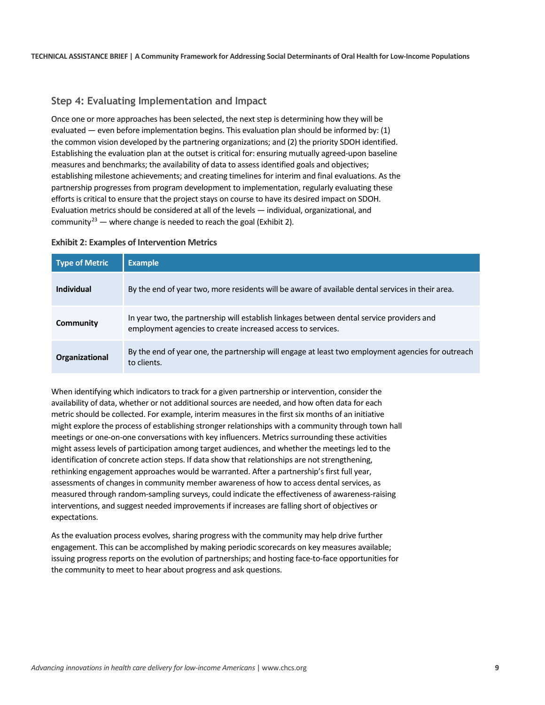#### **Step 4: Evaluating Implementation and Impact**

Once one or more approaches has been selected, the next step is determining how they will be evaluated — even before implementation begins. This evaluation plan should be informed by: (1) the common vision developed by the partnering organizations; and (2) the priority SDOH identified. Establishing the evaluation plan at the outset is critical for: ensuring mutually agreed-upon baseline measures and benchmarks; the availability of data to assess identified goals and objectives; establishing milestone achievements; and creating timelines for interim and final evaluations. As the partnership progresses from program development to implementation, regularly evaluating these efforts is critical to ensure that the project stays on course to have its desired impact on SDOH. Evaluation metrics should be considered at all of the levels — individual, organizational, and community<sup>[23](#page-10-22)</sup> — where change is needed to reach the goal (Exhibit 2).

#### **Exhibit 2: Examples of Intervention Metrics**

| <b>Type of Metric</b> | <b>Example</b>                                                                                                                                           |
|-----------------------|----------------------------------------------------------------------------------------------------------------------------------------------------------|
| Individual            | By the end of year two, more residents will be aware of available dental services in their area.                                                         |
| Community             | In year two, the partnership will establish linkages between dental service providers and<br>employment agencies to create increased access to services. |
| Organizational        | By the end of year one, the partnership will engage at least two employment agencies for outreach<br>to clients.                                         |

When identifying which indicators to track for a given partnership or intervention, consider the availability of data, whether or not additional sources are needed, and how often data for each metric should be collected. For example, interim measures in the first six months of an initiative might explore the process of establishing stronger relationships with a community through town hall meetings or one-on-one conversations with key influencers. Metrics surrounding these activities might assess levels of participation among target audiences, and whether the meetings led to the identification of concrete action steps. If data show that relationships are not strengthening, rethinking engagement approaches would be warranted. After a partnership's first full year, assessments of changes in community member awareness of how to access dental services, as measured through random-sampling surveys, could indicate the effectiveness of awareness-raising interventions, and suggest needed improvements if increases are falling short of objectives or expectations.

As the evaluation process evolves, sharing progress with the community may help drive further engagement. This can be accomplished by making periodic scorecards on key measures available; issuing progress reports on the evolution of partnerships; and hosting face-to-face opportunities for the community to meet to hear about progress and ask questions.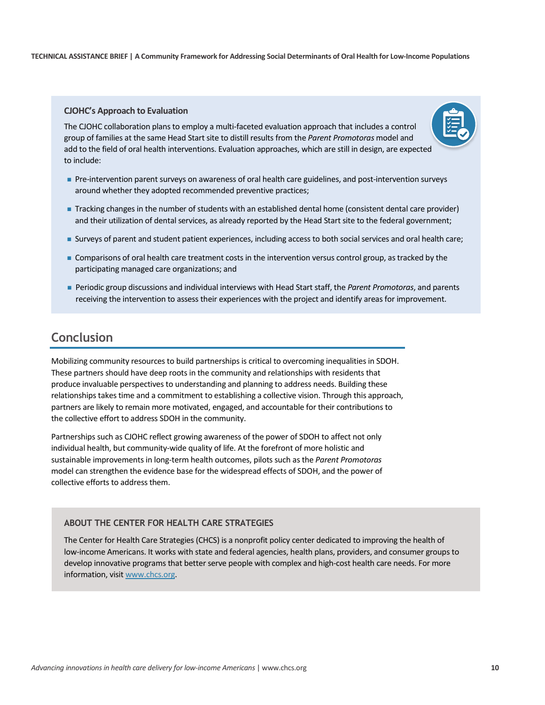#### **CJOHC's Approach to Evaluation**

The CJOHC collaboration plans to employ a multi-faceted evaluation approach that includes a control group of families at the same Head Start site to distill results from the *Parent Promotoras* model and add to the field of oral health interventions. Evaluation approaches, which are still in design, are expected to include:



- Pre-intervention parent surveys on awareness of oral health care guidelines, and post-intervention surveys around whether they adopted recommended preventive practices;
- Tracking changes in the number of students with an established dental home (consistent dental care provider) and their utilization of dental services, as already reported by the Head Start site to the federal government;
- Surveys of parent and student patient experiences, including access to both social services and oral health care;
- Comparisons of oral health care treatment costs in the intervention versus control group, as tracked by the participating managed care organizations; and
- Periodic group discussions and individual interviews with Head Start staff, the *Parent Promotoras*, and parents receiving the intervention to assess their experiences with the project and identify areas for improvement.

### **Conclusion**

Mobilizing community resources to build partnerships is critical to overcoming inequalities in SDOH. These partners should have deep roots in the community and relationships with residents that produce invaluable perspectives to understanding and planning to address needs. Building these relationships takes time and a commitment to establishing a collective vision. Through this approach, partners are likely to remain more motivated, engaged, and accountable for their contributions to the collective effort to address SDOH in the community.

Partnerships such as CJOHC reflect growing awareness of the power of SDOH to affect not only individual health, but community-wide quality of life. At the forefront of more holistic and sustainable improvements in long-term health outcomes, pilots such as the *Parent Promotoras* model can strengthen the evidence base for the widespread effects of SDOH, and the power of collective efforts to address them.

#### **ABOUT THE CENTER FOR HEALTH CARE STRATEGIES**

The Center for Health Care Strategies (CHCS) is a nonprofit policy center dedicated to improving the health of low-income Americans. It works with state and federal agencies, health plans, providers, and consumer groups to develop innovative programs that better serve people with complex and high-cost health care needs. For more information, visit [www.chcs.org.](http://www.chcs.org/)